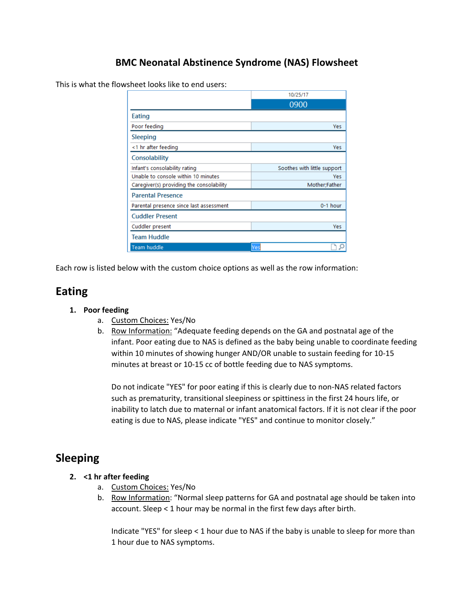### **BMC Neonatal Abstinence Syndrome (NAS) Flowsheet**

This is what the flowsheet looks like to end users:

|                                          | 10/25/17                    |          |
|------------------------------------------|-----------------------------|----------|
|                                          | 0900                        |          |
| Eating                                   |                             |          |
| Poor feeding                             |                             | Yes      |
| Sleeping                                 |                             |          |
| <1 hr after feeding                      |                             | Yes      |
| Consolability                            |                             |          |
| Infant's consolability rating            | Soothes with little support |          |
| Unable to console within 10 minutes      |                             | Yes      |
| Caregiver(s) providing the consolability | Mother;Father               |          |
| <b>Parental Presence</b>                 |                             |          |
| Parental presence since last assessment  |                             | 0-1 hour |
| <b>Cuddler Present</b>                   |                             |          |
| Cuddler present                          |                             | Yes      |
| <b>Team Huddle</b>                       |                             |          |
| <b>Team huddle</b>                       | Yes                         |          |

Each row is listed below with the custom choice options as well as the row information:

# **Eating**

#### **1. Poor feeding**

- a. Custom Choices: Yes/No
- b. Row Information: "Adequate feeding depends on the GA and postnatal age of the infant. Poor eating due to NAS is defined as the baby being unable to coordinate feeding within 10 minutes of showing hunger AND/OR unable to sustain feeding for 10-15 minutes at breast or 10-15 cc of bottle feeding due to NAS symptoms.

Do not indicate "YES" for poor eating if this is clearly due to non-NAS related factors such as prematurity, transitional sleepiness or spittiness in the first 24 hours life, or inability to latch due to maternal or infant anatomical factors. If it is not clear if the poor eating is due to NAS, please indicate "YES" and continue to monitor closely."

### **Sleeping**

#### **2. <1 hr after feeding**

- a. Custom Choices: Yes/No
- b. Row Information: "Normal sleep patterns for GA and postnatal age should be taken into account. Sleep < 1 hour may be normal in the first few days after birth.

Indicate "YES" for sleep < 1 hour due to NAS if the baby is unable to sleep for more than 1 hour due to NAS symptoms.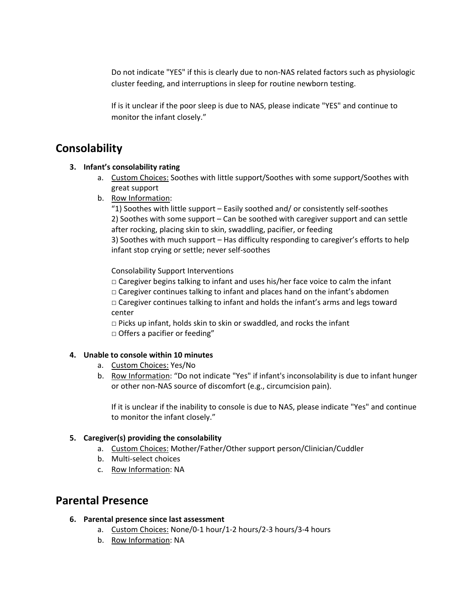Do not indicate "YES" if this is clearly due to non-NAS related factors such as physiologic cluster feeding, and interruptions in sleep for routine newborn testing.

If is it unclear if the poor sleep is due to NAS, please indicate "YES" and continue to monitor the infant closely."

### **Consolability**

#### **3. Infant's consolability rating**

- a. Custom Choices: Soothes with little support/Soothes with some support/Soothes with great support
- b. Row Information:

"1) Soothes with little support – Easily soothed and/ or consistently self-soothes 2) Soothes with some support – Can be soothed with caregiver support and can settle after rocking, placing skin to skin, swaddling, pacifier, or feeding 3) Soothes with much support – Has difficulty responding to caregiver's efforts to help

infant stop crying or settle; never self-soothes

Consolability Support Interventions

 $\Box$  Caregiver begins talking to infant and uses his/her face voice to calm the infant

 $\Box$  Caregiver continues talking to infant and places hand on the infant's abdomen

□ Caregiver continues talking to infant and holds the infant's arms and legs toward center

 $\Box$  Picks up infant, holds skin to skin or swaddled, and rocks the infant □ Offers a pacifier or feeding"

#### **4. Unable to console within 10 minutes**

- a. Custom Choices: Yes/No
- b. Row Information: "Do not indicate "Yes" if infant's inconsolability is due to infant hunger or other non-NAS source of discomfort (e.g., circumcision pain).

If it is unclear if the inability to console is due to NAS, please indicate "Yes" and continue to monitor the infant closely."

### **5. Caregiver(s) providing the consolability**

- a. Custom Choices: Mother/Father/Other support person/Clinician/Cuddler
- b. Multi-select choices
- c. Row Information: NA

# **Parental Presence**

- **6. Parental presence since last assessment**
	- a. Custom Choices: None/0-1 hour/1-2 hours/2-3 hours/3-4 hours
	- b. Row Information: NA